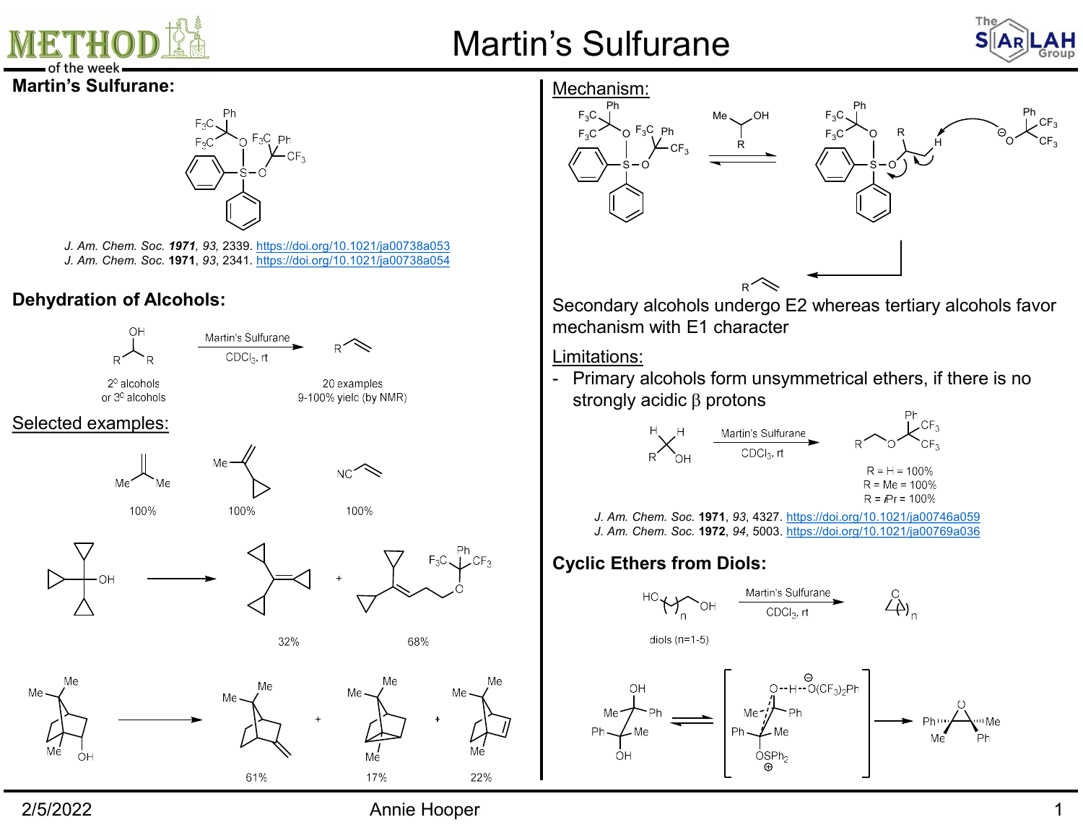

## Martin's Sulfurane



 $F_3C$  O R  $\uparrow$  O  $\swarrow$  or

 $F_3C \setminus$  Ph Ph<sub>oto</sub>

 $S - O$ )  $\sim$ 

R

H  $O^+$   $CF_3$ 

 $\swarrow_{\mathsf{CF}_3}^{\mathsf{Ph}}$  $\mathsf{CF}_3$ 

OH  $F_3C_1$   $F_1$   $F_2$ 

R

 $R^2 \searrow$